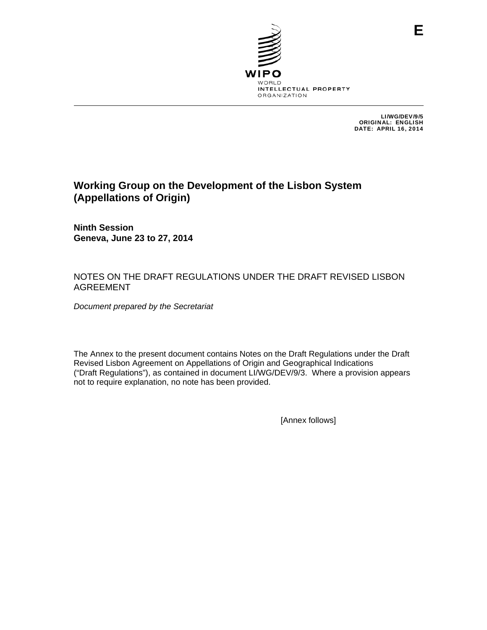

LI/WG/DEV/9/5 ORIGINAL: ENGLISH DATE: APRIL 16, 2014

# **Working Group on the Development of the Lisbon System (Appellations of Origin)**

**Ninth Session Geneva, June 23 to 27, 2014** 

# NOTES ON THE DRAFT REGULATIONS UNDER THE DRAFT REVISED LISBON AGREEMENT

*Document prepared by the Secretariat* 

The Annex to the present document contains Notes on the Draft Regulations under the Draft Revised Lisbon Agreement on Appellations of Origin and Geographical Indications ("Draft Regulations"), as contained in document LI/WG/DEV/9/3. Where a provision appears not to require explanation, no note has been provided.

[Annex follows]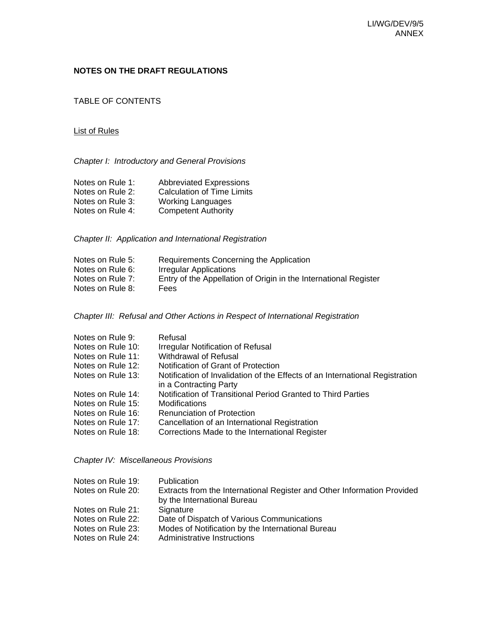## **NOTES ON THE DRAFT REGULATIONS**

TABLE OF CONTENTS

#### List of Rules

*Chapter I: Introductory and General Provisions* 

| Notes on Rule 1: | <b>Abbreviated Expressions</b>    |
|------------------|-----------------------------------|
| Notes on Rule 2: | <b>Calculation of Time Limits</b> |
| Notes on Rule 3: | <b>Working Languages</b>          |
| Notes on Rule 4: | <b>Competent Authority</b>        |

*Chapter II: Application and International Registration* 

| Notes on Rule 5: | Requirements Concerning the Application                          |
|------------------|------------------------------------------------------------------|
| Notes on Rule 6: | Irregular Applications                                           |
| Notes on Rule 7: | Entry of the Appellation of Origin in the International Register |
| Notes on Rule 8: | Fees                                                             |

*Chapter III: Refusal and Other Actions in Respect of International Registration* 

| Refusal                                                                                                |
|--------------------------------------------------------------------------------------------------------|
| <b>Irregular Notification of Refusal</b>                                                               |
| Withdrawal of Refusal                                                                                  |
| Notification of Grant of Protection                                                                    |
| Notification of Invalidation of the Effects of an International Registration<br>in a Contracting Party |
| Notification of Transitional Period Granted to Third Parties                                           |
| Modifications                                                                                          |
| <b>Renunciation of Protection</b>                                                                      |
| Cancellation of an International Registration                                                          |
| Corrections Made to the International Register                                                         |
|                                                                                                        |

*Chapter IV: Miscellaneous Provisions* 

| Notes on Rule 19: | <b>Publication</b>                                                      |
|-------------------|-------------------------------------------------------------------------|
| Notes on Rule 20: | Extracts from the International Register and Other Information Provided |
|                   | by the International Bureau                                             |
| Notes on Rule 21: | Signature                                                               |
| Notes on Rule 22: | Date of Dispatch of Various Communications                              |
| Notes on Rule 23: | Modes of Notification by the International Bureau                       |
| Notes on Rule 24: | Administrative Instructions                                             |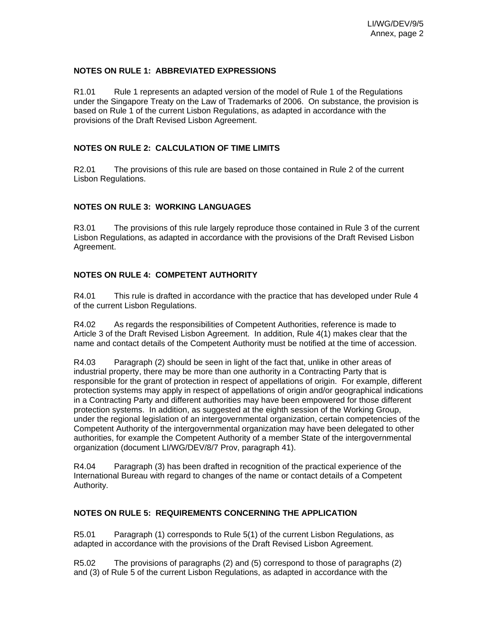#### **NOTES ON RULE 1: ABBREVIATED EXPRESSIONS**

R1.01 Rule 1 represents an adapted version of the model of Rule 1 of the Regulations under the Singapore Treaty on the Law of Trademarks of 2006. On substance, the provision is based on Rule 1 of the current Lisbon Regulations, as adapted in accordance with the provisions of the Draft Revised Lisbon Agreement.

#### **NOTES ON RULE 2: CALCULATION OF TIME LIMITS**

R2.01 The provisions of this rule are based on those contained in Rule 2 of the current Lisbon Regulations.

#### **NOTES ON RULE 3: WORKING LANGUAGES**

R3.01 The provisions of this rule largely reproduce those contained in Rule 3 of the current Lisbon Regulations, as adapted in accordance with the provisions of the Draft Revised Lisbon Agreement.

# **NOTES ON RULE 4: COMPETENT AUTHORITY**

R4.01 This rule is drafted in accordance with the practice that has developed under Rule 4 of the current Lisbon Regulations.

R4.02 As regards the responsibilities of Competent Authorities, reference is made to Article 3 of the Draft Revised Lisbon Agreement. In addition, Rule 4(1) makes clear that the name and contact details of the Competent Authority must be notified at the time of accession.

R4.03 Paragraph (2) should be seen in light of the fact that, unlike in other areas of industrial property, there may be more than one authority in a Contracting Party that is responsible for the grant of protection in respect of appellations of origin. For example, different protection systems may apply in respect of appellations of origin and/or geographical indications in a Contracting Party and different authorities may have been empowered for those different protection systems. In addition, as suggested at the eighth session of the Working Group, under the regional legislation of an intergovernmental organization, certain competencies of the Competent Authority of the intergovernmental organization may have been delegated to other authorities, for example the Competent Authority of a member State of the intergovernmental organization (document LI/WG/DEV/8/7 Prov, paragraph 41).

R4.04 Paragraph (3) has been drafted in recognition of the practical experience of the International Bureau with regard to changes of the name or contact details of a Competent Authority.

#### **NOTES ON RULE 5: REQUIREMENTS CONCERNING THE APPLICATION**

R5.01 Paragraph (1) corresponds to Rule 5(1) of the current Lisbon Regulations, as adapted in accordance with the provisions of the Draft Revised Lisbon Agreement.

R5.02 The provisions of paragraphs (2) and (5) correspond to those of paragraphs (2) and (3) of Rule 5 of the current Lisbon Regulations, as adapted in accordance with the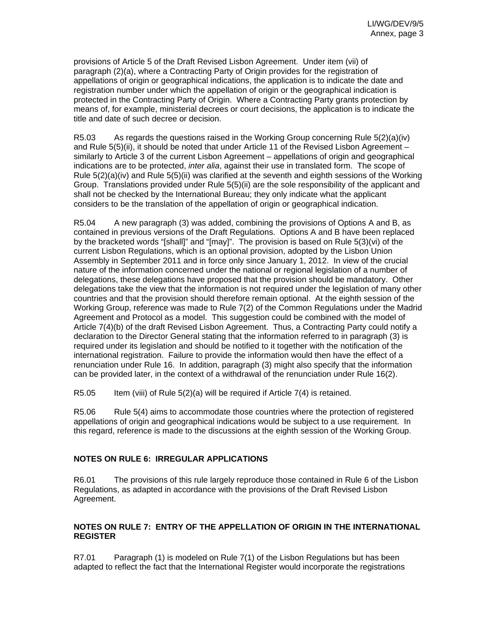provisions of Article 5 of the Draft Revised Lisbon Agreement. Under item (vii) of paragraph (2)(a), where a Contracting Party of Origin provides for the registration of appellations of origin or geographical indications, the application is to indicate the date and registration number under which the appellation of origin or the geographical indication is protected in the Contracting Party of Origin. Where a Contracting Party grants protection by means of, for example, ministerial decrees or court decisions, the application is to indicate the title and date of such decree or decision.

R5.03 As regards the questions raised in the Working Group concerning Rule 5(2)(a)(iv) and Rule 5(5)(ii), it should be noted that under Article 11 of the Revised Lisbon Agreement – similarly to Article 3 of the current Lisbon Agreement – appellations of origin and geographical indications are to be protected, *inter alia*, against their use in translated form. The scope of Rule 5(2)(a)(iv) and Rule 5(5)(ii) was clarified at the seventh and eighth sessions of the Working Group. Translations provided under Rule 5(5)(ii) are the sole responsibility of the applicant and shall not be checked by the International Bureau; they only indicate what the applicant considers to be the translation of the appellation of origin or geographical indication.

R5.04 A new paragraph (3) was added, combining the provisions of Options A and B, as contained in previous versions of the Draft Regulations. Options A and B have been replaced by the bracketed words "[shall]" and "[may]". The provision is based on Rule 5(3)(vi) of the current Lisbon Regulations, which is an optional provision, adopted by the Lisbon Union Assembly in September 2011 and in force only since January 1, 2012. In view of the crucial nature of the information concerned under the national or regional legislation of a number of delegations, these delegations have proposed that the provision should be mandatory. Other delegations take the view that the information is not required under the legislation of many other countries and that the provision should therefore remain optional. At the eighth session of the Working Group, reference was made to Rule 7(2) of the Common Regulations under the Madrid Agreement and Protocol as a model. This suggestion could be combined with the model of Article 7(4)(b) of the draft Revised Lisbon Agreement. Thus, a Contracting Party could notify a declaration to the Director General stating that the information referred to in paragraph (3) is required under its legislation and should be notified to it together with the notification of the international registration. Failure to provide the information would then have the effect of a renunciation under Rule 16. In addition, paragraph (3) might also specify that the information can be provided later, in the context of a withdrawal of the renunciation under Rule 16(2).

R5.05 Item (viii) of Rule 5(2)(a) will be required if Article 7(4) is retained.

R5.06 Rule 5(4) aims to accommodate those countries where the protection of registered appellations of origin and geographical indications would be subject to a use requirement. In this regard, reference is made to the discussions at the eighth session of the Working Group.

# **NOTES ON RULE 6: IRREGULAR APPLICATIONS**

R6.01 The provisions of this rule largely reproduce those contained in Rule 6 of the Lisbon Regulations, as adapted in accordance with the provisions of the Draft Revised Lisbon Agreement.

# **NOTES ON RULE 7: ENTRY OF THE APPELLATION OF ORIGIN IN THE INTERNATIONAL REGISTER**

R7.01 Paragraph (1) is modeled on Rule 7(1) of the Lisbon Regulations but has been adapted to reflect the fact that the International Register would incorporate the registrations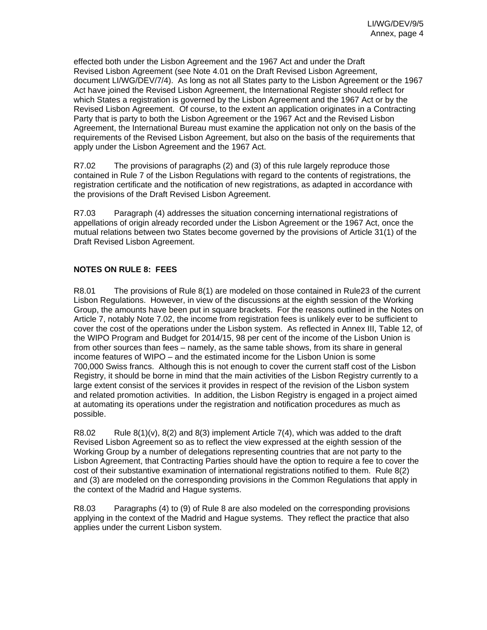effected both under the Lisbon Agreement and the 1967 Act and under the Draft Revised Lisbon Agreement (see Note 4.01 on the Draft Revised Lisbon Agreement, document LI/WG/DEV/7/4). As long as not all States party to the Lisbon Agreement or the 1967 Act have joined the Revised Lisbon Agreement, the International Register should reflect for which States a registration is governed by the Lisbon Agreement and the 1967 Act or by the Revised Lisbon Agreement. Of course, to the extent an application originates in a Contracting Party that is party to both the Lisbon Agreement or the 1967 Act and the Revised Lisbon Agreement, the International Bureau must examine the application not only on the basis of the requirements of the Revised Lisbon Agreement, but also on the basis of the requirements that apply under the Lisbon Agreement and the 1967 Act.

R7.02 The provisions of paragraphs (2) and (3) of this rule largely reproduce those contained in Rule 7 of the Lisbon Regulations with regard to the contents of registrations, the registration certificate and the notification of new registrations, as adapted in accordance with the provisions of the Draft Revised Lisbon Agreement.

R7.03 Paragraph (4) addresses the situation concerning international registrations of appellations of origin already recorded under the Lisbon Agreement or the 1967 Act, once the mutual relations between two States become governed by the provisions of Article 31(1) of the Draft Revised Lisbon Agreement.

# **NOTES ON RULE 8: FEES**

R8.01 The provisions of Rule 8(1) are modeled on those contained in Rule23 of the current Lisbon Regulations. However, in view of the discussions at the eighth session of the Working Group, the amounts have been put in square brackets. For the reasons outlined in the Notes on Article 7, notably Note 7.02, the income from registration fees is unlikely ever to be sufficient to cover the cost of the operations under the Lisbon system. As reflected in Annex III, Table 12, of the WIPO Program and Budget for 2014/15, 98 per cent of the income of the Lisbon Union is from other sources than fees – namely, as the same table shows, from its share in general income features of WIPO – and the estimated income for the Lisbon Union is some 700,000 Swiss francs. Although this is not enough to cover the current staff cost of the Lisbon Registry, it should be borne in mind that the main activities of the Lisbon Registry currently to a large extent consist of the services it provides in respect of the revision of the Lisbon system and related promotion activities. In addition, the Lisbon Registry is engaged in a project aimed at automating its operations under the registration and notification procedures as much as possible.

R8.02 Rule  $8(1)(v)$ ,  $8(2)$  and  $8(3)$  implement Article 7(4), which was added to the draft Revised Lisbon Agreement so as to reflect the view expressed at the eighth session of the Working Group by a number of delegations representing countries that are not party to the Lisbon Agreement, that Contracting Parties should have the option to require a fee to cover the cost of their substantive examination of international registrations notified to them. Rule 8(2) and (3) are modeled on the corresponding provisions in the Common Regulations that apply in the context of the Madrid and Hague systems.

R8.03 Paragraphs (4) to (9) of Rule 8 are also modeled on the corresponding provisions applying in the context of the Madrid and Hague systems. They reflect the practice that also applies under the current Lisbon system.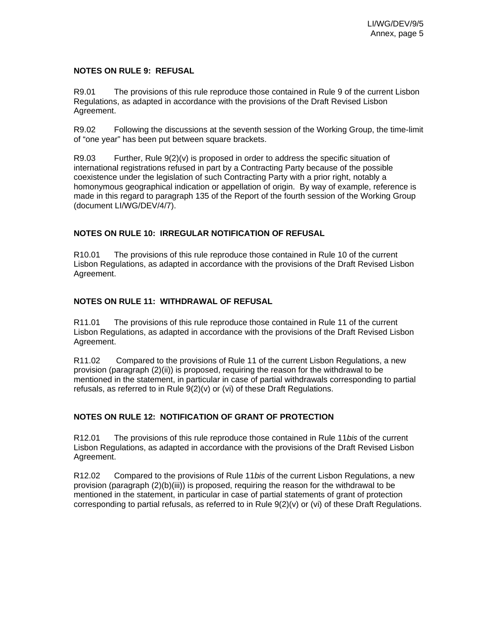#### **NOTES ON RULE 9: REFUSAL**

R9.01 The provisions of this rule reproduce those contained in Rule 9 of the current Lisbon Regulations, as adapted in accordance with the provisions of the Draft Revised Lisbon Agreement.

R9.02 Following the discussions at the seventh session of the Working Group, the time-limit of "one year" has been put between square brackets.

R9.03 Further, Rule  $9(2)(v)$  is proposed in order to address the specific situation of international registrations refused in part by a Contracting Party because of the possible coexistence under the legislation of such Contracting Party with a prior right, notably a homonymous geographical indication or appellation of origin. By way of example, reference is made in this regard to paragraph 135 of the Report of the fourth session of the Working Group (document LI/WG/DEV/4/7).

#### **NOTES ON RULE 10: IRREGULAR NOTIFICATION OF REFUSAL**

R10.01 The provisions of this rule reproduce those contained in Rule 10 of the current Lisbon Regulations, as adapted in accordance with the provisions of the Draft Revised Lisbon Agreement.

# **NOTES ON RULE 11: WITHDRAWAL OF REFUSAL**

R11.01 The provisions of this rule reproduce those contained in Rule 11 of the current Lisbon Regulations, as adapted in accordance with the provisions of the Draft Revised Lisbon Agreement.

R11.02 Compared to the provisions of Rule 11 of the current Lisbon Regulations, a new provision (paragraph (2)(ii)) is proposed, requiring the reason for the withdrawal to be mentioned in the statement, in particular in case of partial withdrawals corresponding to partial refusals, as referred to in Rule 9(2)(v) or (vi) of these Draft Regulations.

#### **NOTES ON RULE 12: NOTIFICATION OF GRANT OF PROTECTION**

R12.01 The provisions of this rule reproduce those contained in Rule 11*bis* of the current Lisbon Regulations, as adapted in accordance with the provisions of the Draft Revised Lisbon Agreement.

R12.02 Compared to the provisions of Rule 11*bis* of the current Lisbon Regulations, a new provision (paragraph (2)(b)(iii)) is proposed, requiring the reason for the withdrawal to be mentioned in the statement, in particular in case of partial statements of grant of protection corresponding to partial refusals, as referred to in Rule 9(2)(v) or (vi) of these Draft Regulations.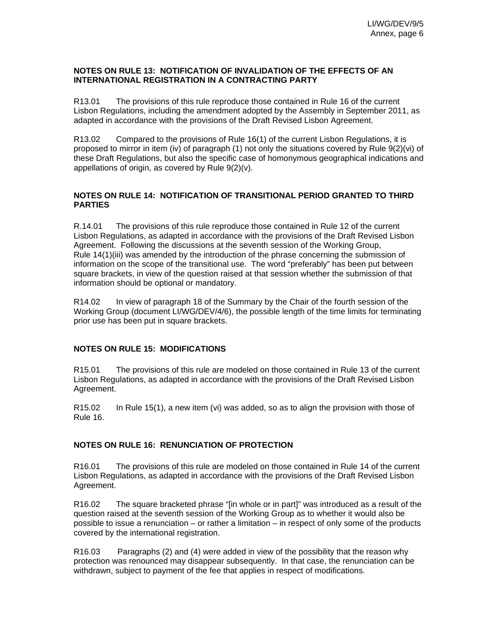#### **NOTES ON RULE 13: NOTIFICATION OF INVALIDATION OF THE EFFECTS OF AN INTERNATIONAL REGISTRATION IN A CONTRACTING PARTY**

R13.01 The provisions of this rule reproduce those contained in Rule 16 of the current Lisbon Regulations, including the amendment adopted by the Assembly in September 2011, as adapted in accordance with the provisions of the Draft Revised Lisbon Agreement.

R13.02 Compared to the provisions of Rule 16(1) of the current Lisbon Regulations, it is proposed to mirror in item (iv) of paragraph (1) not only the situations covered by Rule 9(2)(vi) of these Draft Regulations, but also the specific case of homonymous geographical indications and appellations of origin, as covered by Rule 9(2)(v).

#### **NOTES ON RULE 14: NOTIFICATION OF TRANSITIONAL PERIOD GRANTED TO THIRD PARTIES**

R.14.01 The provisions of this rule reproduce those contained in Rule 12 of the current Lisbon Regulations, as adapted in accordance with the provisions of the Draft Revised Lisbon Agreement. Following the discussions at the seventh session of the Working Group, Rule 14(1)(iii) was amended by the introduction of the phrase concerning the submission of information on the scope of the transitional use. The word "preferably" has been put between square brackets, in view of the question raised at that session whether the submission of that information should be optional or mandatory.

R14.02 In view of paragraph 18 of the Summary by the Chair of the fourth session of the Working Group (document LI/WG/DEV/4/6), the possible length of the time limits for terminating prior use has been put in square brackets.

#### **NOTES ON RULE 15: MODIFICATIONS**

R15.01 The provisions of this rule are modeled on those contained in Rule 13 of the current Lisbon Regulations, as adapted in accordance with the provisions of the Draft Revised Lisbon Agreement.

R15.02 In Rule 15(1), a new item (vi) was added, so as to align the provision with those of Rule 16.

#### **NOTES ON RULE 16: RENUNCIATION OF PROTECTION**

R16.01 The provisions of this rule are modeled on those contained in Rule 14 of the current Lisbon Regulations, as adapted in accordance with the provisions of the Draft Revised Lisbon Agreement.

R16.02 The square bracketed phrase "[in whole or in part]" was introduced as a result of the question raised at the seventh session of the Working Group as to whether it would also be possible to issue a renunciation – or rather a limitation – in respect of only some of the products covered by the international registration.

R16.03 Paragraphs (2) and (4) were added in view of the possibility that the reason why protection was renounced may disappear subsequently. In that case, the renunciation can be withdrawn, subject to payment of the fee that applies in respect of modifications.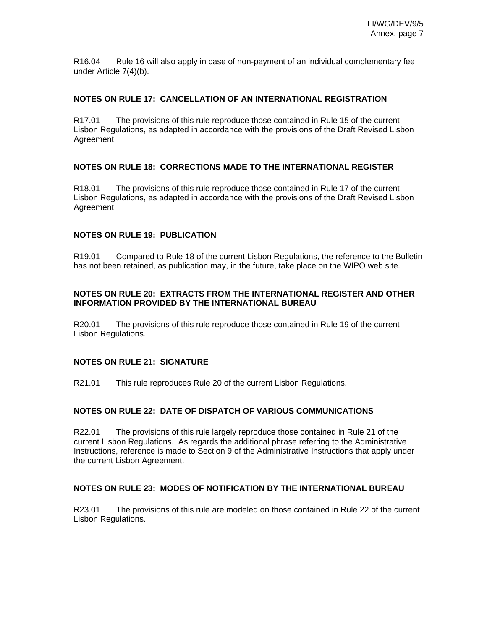R16.04 Rule 16 will also apply in case of non-payment of an individual complementary fee under Article 7(4)(b).

#### **NOTES ON RULE 17: CANCELLATION OF AN INTERNATIONAL REGISTRATION**

R17.01 The provisions of this rule reproduce those contained in Rule 15 of the current Lisbon Regulations, as adapted in accordance with the provisions of the Draft Revised Lisbon Agreement.

#### **NOTES ON RULE 18: CORRECTIONS MADE TO THE INTERNATIONAL REGISTER**

R18.01 The provisions of this rule reproduce those contained in Rule 17 of the current Lisbon Regulations, as adapted in accordance with the provisions of the Draft Revised Lisbon Agreement.

#### **NOTES ON RULE 19: PUBLICATION**

R19.01 Compared to Rule 18 of the current Lisbon Regulations, the reference to the Bulletin has not been retained, as publication may, in the future, take place on the WIPO web site.

#### **NOTES ON RULE 20: EXTRACTS FROM THE INTERNATIONAL REGISTER AND OTHER INFORMATION PROVIDED BY THE INTERNATIONAL BUREAU**

R20.01 The provisions of this rule reproduce those contained in Rule 19 of the current Lisbon Regulations.

#### **NOTES ON RULE 21: SIGNATURE**

R21.01 This rule reproduces Rule 20 of the current Lisbon Regulations.

#### **NOTES ON RULE 22: DATE OF DISPATCH OF VARIOUS COMMUNICATIONS**

R22.01 The provisions of this rule largely reproduce those contained in Rule 21 of the current Lisbon Regulations. As regards the additional phrase referring to the Administrative Instructions, reference is made to Section 9 of the Administrative Instructions that apply under the current Lisbon Agreement.

#### **NOTES ON RULE 23: MODES OF NOTIFICATION BY THE INTERNATIONAL BUREAU**

R23.01 The provisions of this rule are modeled on those contained in Rule 22 of the current Lisbon Regulations.